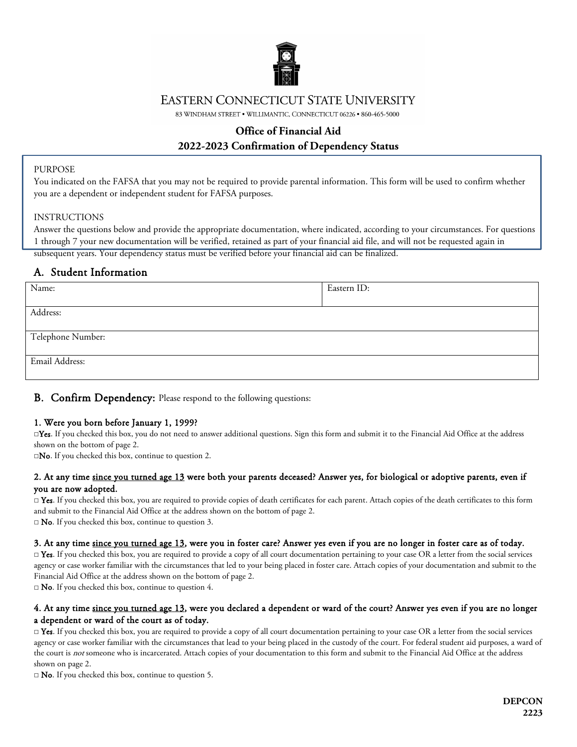

## **EASTERN CONNECTICUT STATE UNIVERSITY**

83 WINDHAM STREET . WILLIMANTIC, CONNECTICUT 06226 . 860-465-5000

# **Office of Financial Aid 2022-2023 Confirmation of Dependency Status**

#### PURPOSE

j

You indicated on the FAFSA that you may not be required to provide parental information. This form will be used to confirm whether you are a dependent or independent student for FAFSA purposes.

#### INSTRUCTIONS

Answer the questions below and provide the appropriate documentation, where indicated, according to your circumstances. For questions 1 through 7 your new documentation will be verified, retained as part of your financial aid file, and will not be requested again in subsequent years. Your dependency status must be verified before your financial aid can be finalized.

# A. Student Information

| Name:             | Eastern ID: |
|-------------------|-------------|
| Address:          |             |
| Telephone Number: |             |
| Email Address:    |             |

## **B.** Confirm Dependency: Please respond to the following questions:

### 1. Were you born before January 1, 1999?

□Yes. If you checked this box, you do not need to answer additional questions. Sign this form and submit it to the Financial Aid Office at the address shown on the bottom of page 2.

□No. If you checked this box, continue to question 2.

#### 2. At any time since you turned age 13 were both your parents deceased? Answer yes, for biological or adoptive parents, even if you are now adopted.

 $\Box$  Yes. If you checked this box, you are required to provide copies of death certificates for each parent. Attach copies of the death certificates to this form and submit to the Financial Aid Office at the address shown on the bottom of page 2.

 $\square$  **No**. If you checked this box, continue to question 3.

### 3. At any time since you turned age 13, were you in foster care? Answer yes even if you are no longer in foster care as of today.

□ Yes. If you checked this box, you are required to provide a copy of all court documentation pertaining to your case OR a letter from the social services agency or case worker familiar with the circumstances that led to your being placed in foster care. Attach copies of your documentation and submit to the Financial Aid Office at the address shown on the bottom of page 2.

 $\square$  **No**. If you checked this box, continue to question 4.

### 4. At any time since you turned age 13, were you declared a dependent or ward of the court? Answer yes even if you are no longer a dependent or ward of the court as of today.

 $\Box$  Yes. If you checked this box, you are required to provide a copy of all court documentation pertaining to your case OR a letter from the social services agency or case worker familiar with the circumstances that lead to your being placed in the custody of the court. For federal student aid purposes, a ward of the court is not someone who is incarcerated. Attach copies of your documentation to this form and submit to the Financial Aid Office at the address shown on page 2.

□ **No**. If you checked this box, continue to question 5.